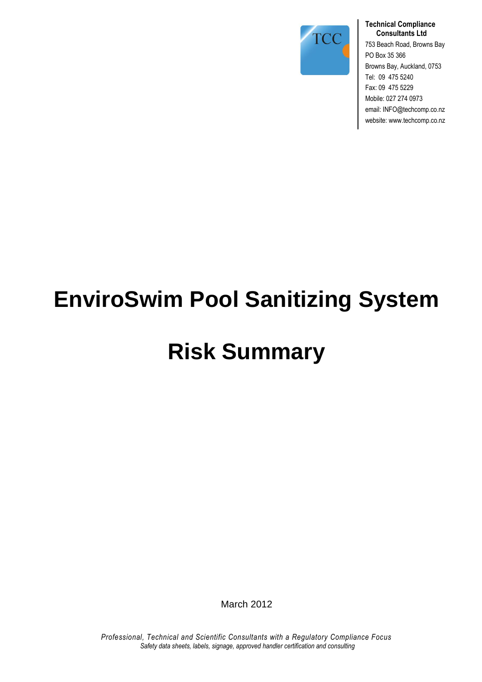

#### **Technical Compliance Consultants Ltd**

753 Beach Road, Browns Bay PO Box 35 366 Browns Bay, Auckland, 0753 Tel: 09 475 5240 Fax: 09 475 5229 Mobile: 027 274 0973 email: INFO@techcomp.co.nz website: www.techcomp.co.nz

# **EnviroSwim Pool Sanitizing System**

# **Risk Summary**

March 2012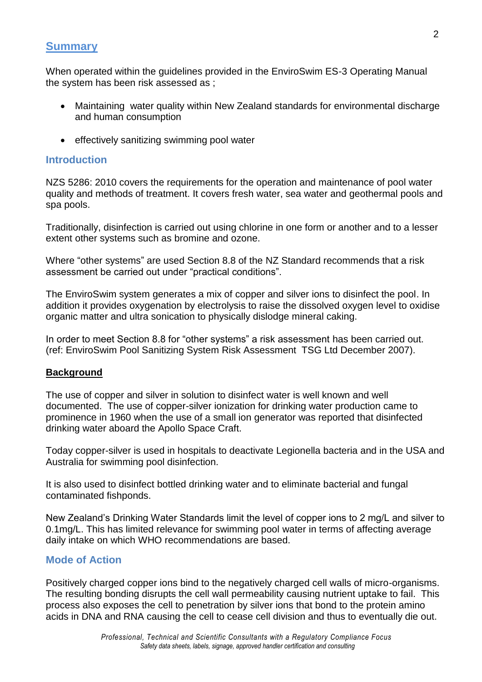# **Summary**

When operated within the guidelines provided in the EnviroSwim ES-3 Operating Manual the system has been risk assessed as ;

- Maintaining water quality within New Zealand standards for environmental discharge and human consumption
- effectively sanitizing swimming pool water

#### **Introduction**

NZS 5286: 2010 covers the requirements for the operation and maintenance of pool water quality and methods of treatment. It covers fresh water, sea water and geothermal pools and spa pools.

Traditionally, disinfection is carried out using chlorine in one form or another and to a lesser extent other systems such as bromine and ozone.

Where "other systems" are used Section 8.8 of the NZ Standard recommends that a risk assessment be carried out under "practical conditions".

The EnviroSwim system generates a mix of copper and silver ions to disinfect the pool. In addition it provides oxygenation by electrolysis to raise the dissolved oxygen level to oxidise organic matter and ultra sonication to physically dislodge mineral caking.

In order to meet Section 8.8 for "other systems" a risk assessment has been carried out. (ref: EnviroSwim Pool Sanitizing System Risk Assessment TSG Ltd December 2007).

#### **Background**

The use of copper and silver in solution to disinfect water is well known and well documented. The use of copper-silver ionization for drinking water production came to prominence in 1960 when the use of a small ion generator was reported that disinfected drinking water aboard the Apollo Space Craft.

Today copper-silver is used in hospitals to deactivate Legionella bacteria and in the USA and Australia for swimming pool disinfection.

It is also used to disinfect bottled drinking water and to eliminate bacterial and fungal contaminated fishponds.

New Zealand's Drinking Water Standards limit the level of copper ions to 2 mg/L and silver to 0.1mg/L. This has limited relevance for swimming pool water in terms of affecting average daily intake on which WHO recommendations are based.

#### **Mode of Action**

Positively charged copper ions bind to the negatively charged cell walls of micro-organisms. The resulting bonding disrupts the cell wall permeability causing nutrient uptake to fail. This process also exposes the cell to penetration by silver ions that bond to the protein amino acids in DNA and RNA causing the cell to cease cell division and thus to eventually die out.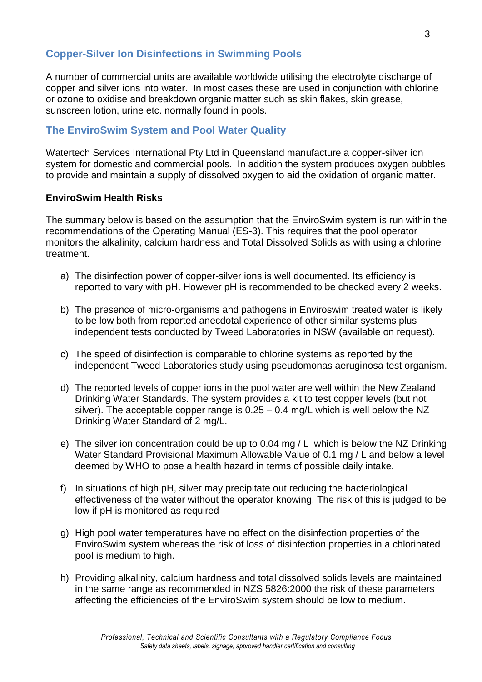### **Copper-Silver Ion Disinfections in Swimming Pools**

A number of commercial units are available worldwide utilising the electrolyte discharge of copper and silver ions into water. In most cases these are used in conjunction with chlorine or ozone to oxidise and breakdown organic matter such as skin flakes, skin grease, sunscreen lotion, urine etc. normally found in pools.

#### **The EnviroSwim System and Pool Water Quality**

Watertech Services International Pty Ltd in Queensland manufacture a copper-silver ion system for domestic and commercial pools. In addition the system produces oxygen bubbles to provide and maintain a supply of dissolved oxygen to aid the oxidation of organic matter.

#### **EnviroSwim Health Risks**

The summary below is based on the assumption that the EnviroSwim system is run within the recommendations of the Operating Manual (ES-3). This requires that the pool operator monitors the alkalinity, calcium hardness and Total Dissolved Solids as with using a chlorine treatment.

- a) The disinfection power of copper-silver ions is well documented. Its efficiency is reported to vary with pH. However pH is recommended to be checked every 2 weeks.
- b) The presence of micro-organisms and pathogens in Enviroswim treated water is likely to be low both from reported anecdotal experience of other similar systems plus independent tests conducted by Tweed Laboratories in NSW (available on request).
- c) The speed of disinfection is comparable to chlorine systems as reported by the independent Tweed Laboratories study using pseudomonas aeruginosa test organism.
- d) The reported levels of copper ions in the pool water are well within the New Zealand Drinking Water Standards. The system provides a kit to test copper levels (but not silver). The acceptable copper range is  $0.25 - 0.4$  mg/L which is well below the NZ Drinking Water Standard of 2 mg/L.
- e) The silver ion concentration could be up to 0.04 mg / L which is below the NZ Drinking Water Standard Provisional Maximum Allowable Value of 0.1 mg / L and below a level deemed by WHO to pose a health hazard in terms of possible daily intake.
- f) In situations of high pH, silver may precipitate out reducing the bacteriological effectiveness of the water without the operator knowing. The risk of this is judged to be low if pH is monitored as required
- g) High pool water temperatures have no effect on the disinfection properties of the EnviroSwim system whereas the risk of loss of disinfection properties in a chlorinated pool is medium to high.
- h) Providing alkalinity, calcium hardness and total dissolved solids levels are maintained in the same range as recommended in NZS 5826:2000 the risk of these parameters affecting the efficiencies of the EnviroSwim system should be low to medium.